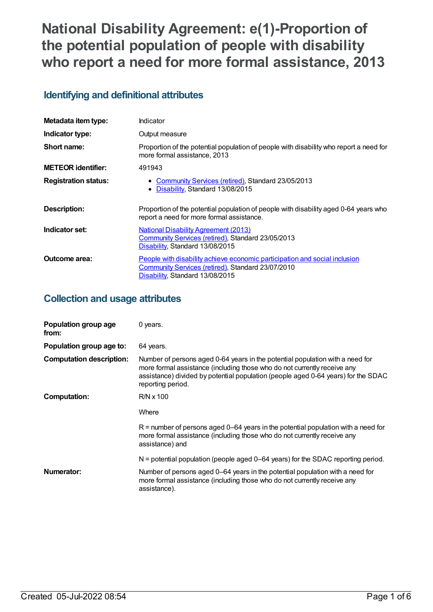# **National Disability Agreement: e(1)-Proportion of the potential population of people with disability who report a need for more formal assistance, 2013**

# **Identifying and definitional attributes**

| Metadata item type:         | Indicator                                                                                                                                                          |
|-----------------------------|--------------------------------------------------------------------------------------------------------------------------------------------------------------------|
| Indicator type:             | Output measure                                                                                                                                                     |
| Short name:                 | Proportion of the potential population of people with disability who report a need for<br>more formal assistance, 2013                                             |
| <b>METEOR identifier:</b>   | 491943                                                                                                                                                             |
| <b>Registration status:</b> | <b>Community Services (retired), Standard 23/05/2013</b><br>Disability, Standard 13/08/2015                                                                        |
| <b>Description:</b>         | Proportion of the potential population of people with disability aged 0-64 years who<br>report a need for more formal assistance.                                  |
| Indicator set:              | <b>National Disability Agreement (2013)</b><br>Community Services (retired), Standard 23/05/2013<br>Disability, Standard 13/08/2015                                |
| Outcome area:               | People with disability achieve economic participation and social inclusion<br>Community Services (retired), Standard 23/07/2010<br>Disability, Standard 13/08/2015 |

## **Collection and usage attributes**

| Population group age<br>from:   | $0$ vears.                                                                                                                                                                                                                                                          |
|---------------------------------|---------------------------------------------------------------------------------------------------------------------------------------------------------------------------------------------------------------------------------------------------------------------|
| Population group age to:        | 64 years.                                                                                                                                                                                                                                                           |
| <b>Computation description:</b> | Number of persons aged 0-64 years in the potential population with a need for<br>more formal assistance (including those who do not currently receive any<br>assistance) divided by potential population (people aged 0-64 years) for the SDAC<br>reporting period. |
| Computation:                    | $R/N \times 100$                                                                                                                                                                                                                                                    |
|                                 | Where                                                                                                                                                                                                                                                               |
|                                 | $R$ = number of persons aged 0–64 years in the potential population with a need for<br>more formal assistance (including those who do not currently receive any<br>assistance) and                                                                                  |
|                                 | $N$ = potential population (people aged 0–64 years) for the SDAC reporting period.                                                                                                                                                                                  |
| Numerator:                      | Number of persons aged 0–64 years in the potential population with a need for<br>more formal assistance (including those who do not currently receive any<br>assistance).                                                                                           |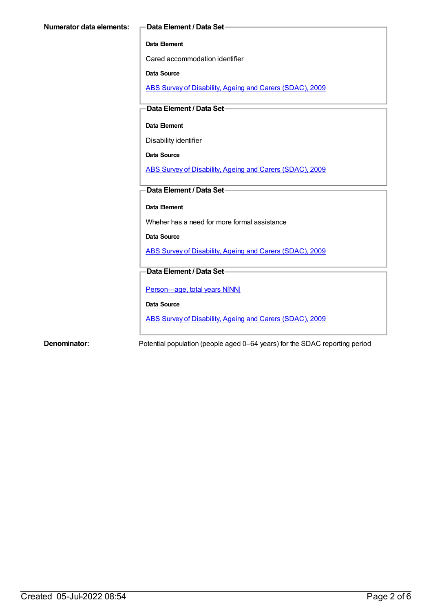#### **Data Element**

Cared accommodation identifier

**Data Source**

ABS Survey of [Disability,](https://meteor.aihw.gov.au/content/445288) Ageing and Carers (SDAC), 2009

**Data Element / Data Set**

#### **Data Element**

Disability identifier

**Data Source**

ABS Survey of [Disability,](https://meteor.aihw.gov.au/content/445288) Ageing and Carers (SDAC), 2009

### **Data Element / Data Set**

**Data Element**

Wheher has a need for more formal assistance

**Data Source**

ABS Survey of [Disability,](https://meteor.aihw.gov.au/content/445288) Ageing and Carers (SDAC), 2009

### **Data Element / Data Set**

[Person—age,](https://meteor.aihw.gov.au/content/303794) total years N[NN]

**Data Source**

ABS Survey of [Disability,](https://meteor.aihw.gov.au/content/445288) Ageing and Carers (SDAC), 2009

**Denominator:** Potential population (people aged 0–64 years) for the SDAC reporting period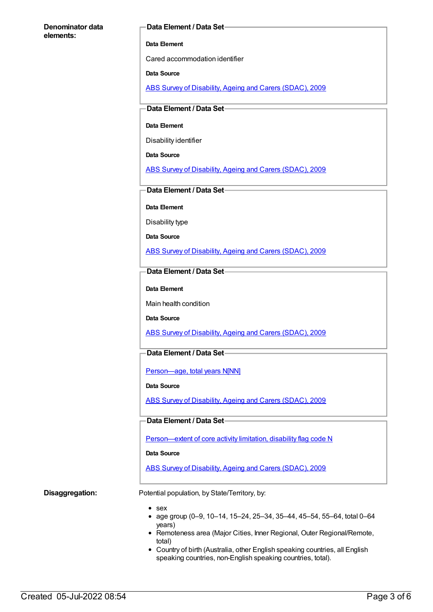#### **Denominator data elements:**

#### **Data Element / Data Set**

#### **Data Element**

Cared accommodation identifier

#### **Data Source**

ABS Survey of [Disability,](https://meteor.aihw.gov.au/content/445288) Ageing and Carers (SDAC), 2009

#### **Data Element / Data Set**

#### **Data Element**

Disability identifier

**Data Source**

ABS Survey of [Disability,](https://meteor.aihw.gov.au/content/445288) Ageing and Carers (SDAC), 2009

#### **Data Element / Data Set**

**Data Element**

Disability type

**Data Source**

ABS Survey of [Disability,](https://meteor.aihw.gov.au/content/445288) Ageing and Carers (SDAC), 2009

#### **Data Element / Data Set**

#### **Data Element**

Main health condition

**Data Source**

ABS Survey of [Disability,](https://meteor.aihw.gov.au/content/445288) Ageing and Carers (SDAC), 2009

### **Data Element / Data Set**

Person-age, total years N[NN]

**Data Source**

ABS Survey of [Disability,](https://meteor.aihw.gov.au/content/445288) Ageing and Carers (SDAC), 2009

#### **Data Element / Data Set**

Person-extent of core activity limitation, disability flag code N

#### **Data Source**

ABS Survey of [Disability,](https://meteor.aihw.gov.au/content/445288) Ageing and Carers (SDAC), 2009

**Disaggregation:** Potential population, by State/Territory, by:

• sex

- age group (0–9, 10–14, 15–24, 25–34, 35–44, 45–54, 55–64, total 0–64 years)
- Remoteness area (Major Cities, Inner Regional, Outer Regional/Remote, total)
- Country of birth (Australia, other English speaking countries, all English speaking countries, non-English speaking countries, total).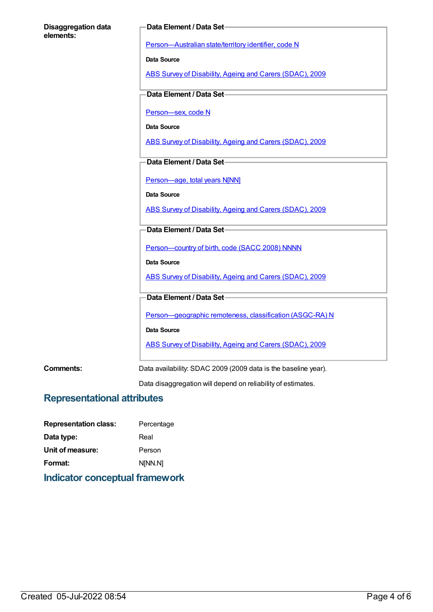| <b>Disaggregation data</b><br>elements: | Data Element / Data Set-                                      |
|-----------------------------------------|---------------------------------------------------------------|
|                                         | Person-Australian state/territory identifier, code N          |
|                                         | Data Source                                                   |
|                                         | ABS Survey of Disability, Ageing and Carers (SDAC), 2009      |
|                                         | Data Element / Data Set-                                      |
|                                         | Person-sex, code N                                            |
|                                         | Data Source                                                   |
|                                         | ABS Survey of Disability, Ageing and Carers (SDAC), 2009      |
|                                         | Data Element / Data Set-                                      |
|                                         | Person-age, total years N[NN]                                 |
|                                         | <b>Data Source</b>                                            |
|                                         | ABS Survey of Disability, Ageing and Carers (SDAC), 2009      |
|                                         | Data Element / Data Set-                                      |
|                                         | Person-country of birth, code (SACC 2008) NNNN                |
|                                         | <b>Data Source</b>                                            |
|                                         | ABS Survey of Disability, Ageing and Carers (SDAC), 2009      |
|                                         | Data Element / Data Set-                                      |
|                                         | Person-geographic remoteness, classification (ASGC-RA) N      |
|                                         | Data Source                                                   |
|                                         | ABS Survey of Disability, Ageing and Carers (SDAC), 2009      |
| Commonte:                               | Data availability: SDAC 2000 (2000 data is the besoline year) |

**Comments:** Data availability: SDAC 2009 (2009 data is the baseline year).

Data disaggregation will depend on reliability of estimates.

# **Representational attributes**

| Percentage |
|------------|
| Real       |
| Person     |
| N[NN.N]    |
|            |

# **Indicator conceptual framework**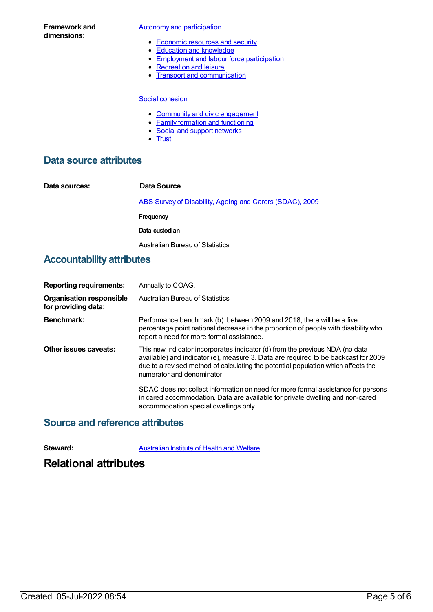**Framework and dimensions:**

Autonomy and [participation](https://meteor.aihw.gov.au/content/392703)

- [Economic](https://meteor.aihw.gov.au/content/392708) resources and security
- Education and [knowledge](https://meteor.aihw.gov.au/content/392707)
- [Employment](https://meteor.aihw.gov.au/content/392706) and labour force participation
- [Recreation](https://meteor.aihw.gov.au/content/392705) and leisure
- Transport and [communication](https://meteor.aihw.gov.au/content/392704)

#### Social [cohesion](https://meteor.aihw.gov.au/content/392693)

- Community and civic [engagement](https://meteor.aihw.gov.au/content/392697)
- Family formation and [functioning](https://meteor.aihw.gov.au/content/392696)
- Social and support [networks](https://meteor.aihw.gov.au/content/392695)
- [Trust](https://meteor.aihw.gov.au/content/392694)

## **Data source attributes**

| Data sources: | Data Source                                              |
|---------------|----------------------------------------------------------|
|               | ABS Survey of Disability, Ageing and Carers (SDAC), 2009 |
|               | Frequency                                                |
|               | Data custodian                                           |
|               | Australian Bureau of Statistics                          |

## **Accountability attributes**

| <b>Reporting requirements:</b>                         | Annually to COAG.                                                                                                                                                                                                                                                                     |
|--------------------------------------------------------|---------------------------------------------------------------------------------------------------------------------------------------------------------------------------------------------------------------------------------------------------------------------------------------|
| <b>Organisation responsible</b><br>for providing data: | Australian Bureau of Statistics                                                                                                                                                                                                                                                       |
| <b>Benchmark:</b>                                      | Performance benchmark (b): between 2009 and 2018, there will be a five<br>percentage point national decrease in the proportion of people with disability who<br>report a need for more formal assistance.                                                                             |
| Other issues caveats:                                  | This new indicator incorporates indicator (d) from the previous NDA (no data<br>available) and indicator (e), measure 3. Data are required to be backcast for 2009<br>due to a revised method of calculating the potential population which affects the<br>numerator and denominator. |
|                                                        | SDAC does not collect information on need for more formal assistance for persons<br>in cared accommodation. Data are available for private dwelling and non-cared<br>accommodation special dwellings only.                                                                            |

## **Source and reference attributes**

# **Relational attributes**